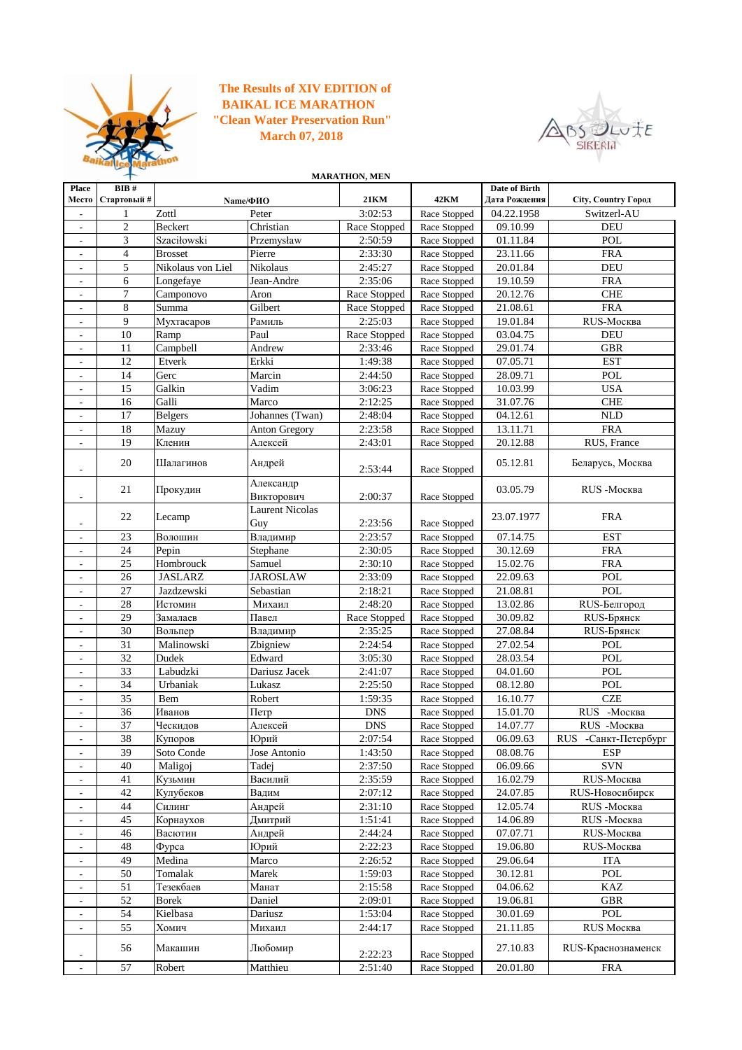

## **The Results of XIV EDITION of "Clean Water Preservation Run" March 07, 2018 BAIKAL ICE MARATHON**



**Place Место BIB # Стартовый # 21KM 42KM Date of Birth Дата Рождения City, Country Город** - 1 Zottl Peter 3:02:53 Race Stopped 04.22.1958 Switzerl-AU 2 Beckert Christian Race Stopped Race Stopped 09.10.99 DEU - 3 Szaciłowski Przemysław 2:50:59 Race Stopped 01.11.84 POL<br>- 4 Brosset Pierre 2:33:30 Race Stopped 23.11.66 FRA - 4 Brosset Pierre 2:33:30 Race Stopped - 5 Nikolaus von Liel Nikolaus 2:45:27 Race Stopped 20.01.84 DEU - 6 Longefaye Jean-Andre 2:35:06 Race Stopped 19.10.59 FRA 7 Camponovo Aron Race Stopped Race Stopped 20.12.76 CHE 8 Summa Gilbert Race Stopped Race Stopped 21.08.61 FRA - 9 Мухтасаров Рамиль | 2:25:03 Race Stopped 19.01.84 RUS-Москва 10 Ramp Paul Race Stopped Race Stopped 03.04.75 DEU<br>11 Campbell Andrew 2:33:46 Race Stopped 29.01.74 GBR - 11 Campbell Andrew 2:33:46 Race Stopped 12 Etverk Erkki 1:49:38 Race Stopped 07.05.71 EST - 14 Gerc Marcin 2:44:50 Race Stopped 28.09.71 POL 15 Galkin **Vadim** 3:06:23 Race Stopped 10.03.99 USA - 16 Galli Marco 2:12:25 Race Stopped 31.07.76 CHE - 17 Belgers Johannes (Twan) 2:48:04 Race Stopped 04.12.61 NLD - 18 Mazuy Anton Gregory 2:23:58 Race Stopped 13.11.71 FRA<br>- 19 Кленин Алексей 2:43:01 Race Stopped 20.12.88 RUS, Fr. - 19 Кленин Алексей 2:43:01 Race Stopped 20.12.88 RUS, France - <sup>20</sup> Шалагинов Андрей 2:53:44 Race Stopped 05.12.81 Беларусь, Москва - 21 Прокудин Александр Викторович 2:00:37 Race Stopped 03.05.79 RUS -Москва - 22 Lecamp Laurent Nicolas 2:23:56 Race Stopped 23.07.1977 FRA - 23 Волошин Владимир 2:23:57 Race Stopped 07.14.75 EST - 24 Pepin Stephane 2:30:05 Race Stopped 30.12.69 FRA - 25 Hombrouck Samuel 2:30:10 Race Stopped 15.02.76 FRA - 26 JASLARZ JAROSLAW 2:33:09 Race Stopped 22.09.63 POL - 27 Jazdzewski Sebastian 2:18:21 Race Stopped 21.08.81 POL - 28 Истомин Михаил 2:48:20 Race Stopped 13.02.86 RUS-Белгород - 29 Замалаев | Павел | Race Stopped | Race Stopped | 30.09.82 | RUS-Брянск - 30 Вольпер Владимир 2:35:25 Race Stopped 27.08.84 RUS-Брянск - 31 Malinowski Zbigniew 2:24:54 Race Stopped 27.02.54 POL - 32 Dudek Edward 3:05:30 Race Stopped 28.03.54 POL - 33 Labudzki Dariusz Jacek 2:41:07 Race Stopped 04.01.60 POL - 34 Urbaniak Lukasz 2:25:50 Race Stopped 08.12.80 POL 35 Bem Robert 1:59:35 Race Stopped 16.10.77 CZE - 36 Иванов Петр DNS Race Stopped 15.01.70 RUS -Москва 37 Ческидов Алексей DNS Race Stopped 14.07.77 RUS -Москва - 38 Купоров Юрий 2:07:54 Race Stopped 06.09.63 RUS -Санкт-Петербург - 39 Soto Conde Jose Antonio 1:43:50 Race Stopped 08.08.76 ESP  $-$  40 Maligoj Tadej 2:37:50 Race Stopped 06.09.66 SVN - 41 Кузьмин Василий 2:35:59 Race Stopped 16.02.79 RUS-Москва - 42 Кулубеков Вадим 2:07:12 Race Stopped 24.07.85 RUS-Новосибирск - 44 Силинг Андрей 2:31:10 Race Stopped 12.05.74 RUS -Москва - 45 Корнаухов Дмитрий 1:51:41 Race Stopped 14.06.89 RUS -Москва - 46 Васютин Андрей 2:44:24 Race Stopped 07.07.71 RUS-Москва - 48 Фурса **Юрий - 2:22:23 Race Stopped 19.06.80 RUS-Москва** 49 | Medina | Marco | 2:26:52 | Race Stopped | 29.06.64 | ITA - 50 Tomalak Marek 1:59:03 Race Stopped 30.12.81 POL - 51 Тезекбаев Манат 2:15:58 Race Stopped 04.06.62 KAZ - 52 Borek Daniel 2:09:01 Race Stopped 19.06.81 GBR - | 54 | Kielbasa | Dariusz | 1:53:04 | Race Stopped | 30.01.69 | POL - 55 Хомич Михаил 2:44:17 Race Stopped 21.11.85 RUS Москва - <sup>56</sup> Макашин Любомир 2:22:23 Race Stopped 27.10.83 RUS-Краснознаменск **Name/ФИО MARATHON, MEN**

- 57 Robert Matthieu 2:51:40 Race Stopped 20.01.80 FRA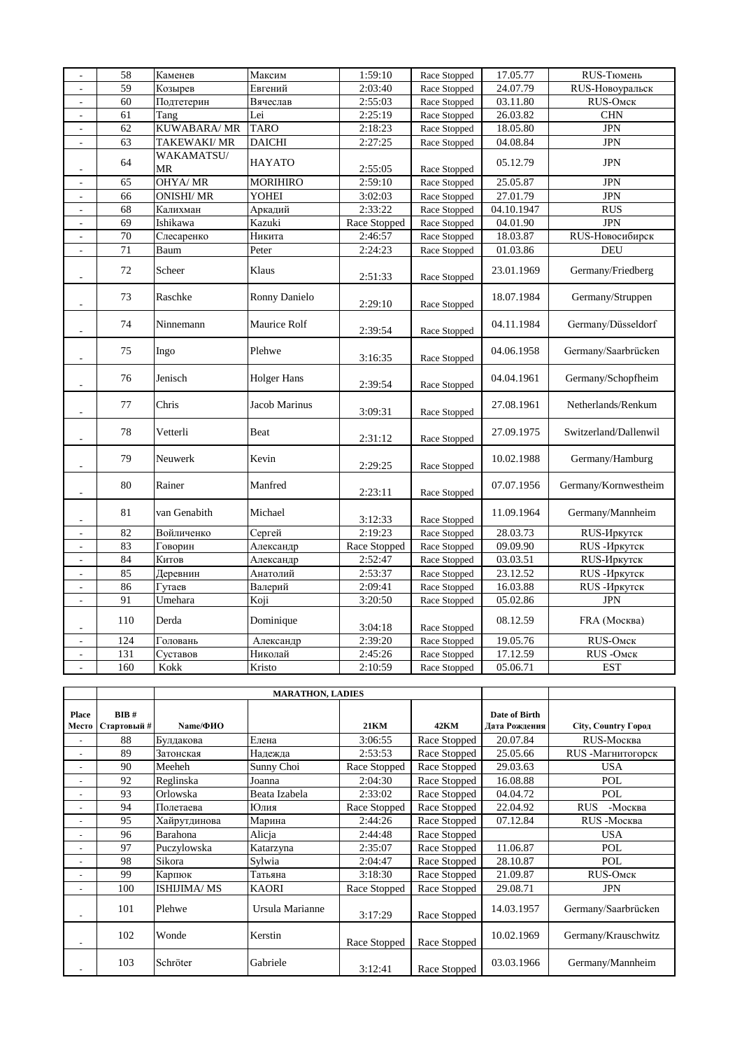| $\overline{\phantom{a}}$ | 58              | Каменев                 | Максим          | 1:59:10      | Race Stopped | 17.05.77   | RUS-Тюмень            |
|--------------------------|-----------------|-------------------------|-----------------|--------------|--------------|------------|-----------------------|
| $\overline{a}$           | 59              | Козырев                 | Евгений         | 2:03:40      | Race Stopped | 24.07.79   | RUS-Новоуральск       |
| $\frac{1}{2}$            | $\overline{60}$ | Подтетерин              | Вячеслав        | 2:55:03      | Race Stopped | 03.11.80   | RUS-OMCK              |
| $\overline{\phantom{a}}$ | 61              | Tang                    | Lei             | 2:25:19      | Race Stopped | 26.03.82   | <b>CHN</b>            |
| $\overline{\phantom{a}}$ | 62              | KUWABARA/ MR            | <b>TARO</b>     | 2:18:23      | Race Stopped | 18.05.80   | <b>JPN</b>            |
| $\overline{a}$           | $\overline{63}$ | TAKEWAKI/MR             | <b>DAICHI</b>   | 2:27:25      | Race Stopped | 04.08.84   | <b>JPN</b>            |
| $\overline{a}$           | 64              | WAKAMATSU/<br><b>MR</b> | <b>HAYATO</b>   | 2:55:05      | Race Stopped | 05.12.79   | <b>JPN</b>            |
| $\overline{a}$           | 65              | <b>OHYA/MR</b>          | <b>MORIHIRO</b> | 2:59:10      | Race Stopped | 25.05.87   | <b>JPN</b>            |
| $\overline{\phantom{a}}$ | 66              | <b>ONISHI/MR</b>        | YOHEI           | 3:02:03      | Race Stopped | 27.01.79   | <b>JPN</b>            |
| $\overline{\phantom{a}}$ | 68              | Калихман                | Аркадий         | 2:33:22      | Race Stopped | 04.10.1947 | <b>RUS</b>            |
| $\overline{\phantom{a}}$ | $\overline{69}$ | Ishikawa                | Kazuki          | Race Stopped | Race Stopped | 04.01.90   | <b>JPN</b>            |
| $\overline{\phantom{a}}$ | 70              | Слесаренко              | Никита          | 2:46:57      | Race Stopped | 18.03.87   | RUS-Новосибирск       |
| $\overline{\phantom{a}}$ | $\overline{71}$ | Baum                    | Peter           | 2:24:23      | Race Stopped | 01.03.86   | DEU                   |
| $\overline{\phantom{a}}$ | 72              | Scheer                  | Klaus           | 2:51:33      | Race Stopped | 23.01.1969 | Germany/Friedberg     |
| $\overline{a}$           | 73              | Raschke                 | Ronny Danielo   | 2:29:10      | Race Stopped | 18.07.1984 | Germany/Struppen      |
| $\overline{\phantom{a}}$ | 74              | Ninnemann               | Maurice Rolf    | 2:39:54      | Race Stopped | 04.11.1984 | Germany/Düsseldorf    |
| $\overline{a}$           | 75              | Ingo                    | Plehwe          | 3:16:35      | Race Stopped | 04.06.1958 | Germany/Saarbrücken   |
| $\overline{a}$           | 76              | Jenisch                 | Holger Hans     | 2:39:54      | Race Stopped | 04.04.1961 | Germany/Schopfheim    |
| $\overline{\phantom{0}}$ | 77              | Chris                   | Jacob Marinus   | 3:09:31      | Race Stopped | 27.08.1961 | Netherlands/Renkum    |
| $\overline{a}$           | 78              | Vetterli                | Beat            | 2:31:12      | Race Stopped | 27.09.1975 | Switzerland/Dallenwil |
| $\overline{\phantom{a}}$ | 79              | Neuwerk                 | Kevin           | 2:29:25      | Race Stopped | 10.02.1988 | Germany/Hamburg       |
| $\overline{\phantom{a}}$ | 80              | Rainer                  | Manfred         | 2:23:11      | Race Stopped | 07.07.1956 | Germany/Kornwestheim  |
| $\overline{a}$           | 81              | van Genabith            | Michael         | 3:12:33      | Race Stopped | 11.09.1964 | Germany/Mannheim      |
| $\overline{a}$           | 82              | Войличенко              | Сергей          | 2:19:23      | Race Stopped | 28.03.73   | RUS-Иркутск           |
| $\frac{1}{2}$            | 83              | Говорин                 | Александр       | Race Stopped | Race Stopped | 09.09.90   | <b>RUS-Иркутск</b>    |
| $\overline{\phantom{a}}$ | 84              | Китов                   | Александр       | 2:52:47      | Race Stopped | 03.03.51   | RUS-Иркутск           |
| $\overline{a}$           | 85              | Деревнин                | Анатолий        | 2:53:37      | Race Stopped | 23.12.52   | RUS-Иркутск           |
| $\overline{a}$           | 86              | Гутаев                  | Валерий         | 2:09:41      | Race Stopped | 16.03.88   | RUS-Иркутск           |
| $\overline{a}$           | 91              | Umehara                 | Koji            | 3:20:50      | Race Stopped | 05.02.86   | <b>JPN</b>            |
| $\overline{a}$           | 110             | Derda                   | Dominique       | 3:04:18      | Race Stopped | 08.12.59   | FRA (Москва)          |
| $\frac{1}{2}$            | 124             | Головань                | Александр       | 2:39:20      | Race Stopped | 19.05.76   | RUS-OMCK              |
| $\overline{\phantom{a}}$ | 131             | Суставов                | Николай         | 2:45:26      | Race Stopped | 17.12.59   | RUS-OMCK              |
| $\overline{a}$           | 160             | Kokk                    | Kristo          | 2:10:59      | Race Stopped | 05.06.71   | <b>EST</b>            |

|                          |                     |                    | <b>MARATHON, LADIES</b> |              |              |                                |                       |
|--------------------------|---------------------|--------------------|-------------------------|--------------|--------------|--------------------------------|-----------------------|
| <b>Place</b><br>Место    | BIB#<br>Стартовый # | Name/@MO           |                         | <b>21KM</b>  | <b>42KM</b>  | Date of Birth<br>Дата Рождения | City, Country Город   |
|                          | 88                  | Булдакова          | Елена                   | 3:06:55      | Race Stopped | 20.07.84                       | RUS-Москва            |
|                          | 89                  | Затонская          | Надежда                 | 2:53:53      | Race Stopped | 25.05.66                       | RUS - Магнитогорск    |
| $\overline{\phantom{a}}$ | 90                  | Meeheh             | Sunny Choi              | Race Stopped | Race Stopped | 29.03.63                       | <b>USA</b>            |
| ٠                        | 92                  | Reglinska          | Joanna                  | 2:04:30      | Race Stopped | 16.08.88                       | POL                   |
|                          | 93                  | Orlowska           | Beata Izabela           | 2:33:02      | Race Stopped | 04.04.72                       | POL                   |
| ٠                        | 94                  | Полетаева          | Юлия                    | Race Stopped | Race Stopped | 22.04.92                       | <b>RUS</b><br>-Москва |
|                          | 95                  | Хайрутдинова       | Марина                  | 2:44:26      | Race Stopped | 07.12.84                       | RUS-Москва            |
| $\overline{\phantom{a}}$ | 96                  | Barahona           | Alicja                  | 2:44:48      | Race Stopped |                                | <b>USA</b>            |
|                          | 97                  | Puczylowska        | Katarzyna               | 2:35:07      | Race Stopped | 11.06.87                       | POL                   |
|                          | 98                  | Sikora             | Sylwia                  | 2:04:47      | Race Stopped | 28.10.87                       | POL                   |
|                          | 99                  | Карпюк             | Татьяна                 | 3:18:30      | Race Stopped | 21.09.87                       | RUS-OMCK              |
|                          | 100                 | <b>ISHIJIMA/MS</b> | <b>KAORI</b>            | Race Stopped | Race Stopped | 29.08.71                       | <b>JPN</b>            |
|                          | 101                 | Plehwe             | Ursula Marianne         | 3:17:29      | Race Stopped | 14.03.1957                     | Germany/Saarbrücken   |
|                          | 102                 | Wonde              | Kerstin                 | Race Stopped | Race Stopped | 10.02.1969                     | Germany/Krauschwitz   |
|                          | 103                 | Schröter           | Gabriele                | 3:12:41      | Race Stopped | 03.03.1966                     | Germany/Mannheim      |